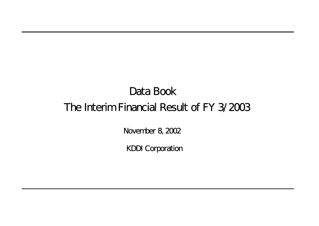# Data Book The Interim Financial Result of FY 3/2003

November 8, 2002

KDDI Corporation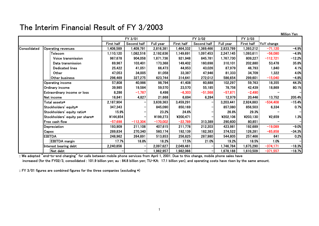### The Interim Financial Result of FY 3/2003

|              |                                 |            |                          |            |            |             |           |            |            | Million Yen |
|--------------|---------------------------------|------------|--------------------------|------------|------------|-------------|-----------|------------|------------|-------------|
|              |                                 |            | FY 3/01                  |            |            | FY 3/02     |           | FY 3/03    |            |             |
|              |                                 | First half | Second half              | Full year  | First half | Second half | Full year | First half | YoY change |             |
| Consolidated | <b>Operating revenues</b>       | 1,406,589  | 1,409,791                | 2,816,381  | 1,464,332  | 1,369,466   | 2,833,799 | 1,393,212  | $-71,120$  | $-4.9%$     |
|              | Telecom                         | 1,110,120  | 1,082,516                | 2,192,636  | 1,149,691  | 1,097,453   | 2,247,145 | 1,093,611  | $-56,080$  | $-4.9%$     |
|              | Voice transmission              | 967,678    | 904,058                  | 1,871,736  | 921,948    | 845,781     | 1,767,730 | 809,227    | $-112,721$ | $-12.2%$    |
|              | Data transmission               | 69,967     | 103,401                  | 173,368    | 149,402    | 160,698     | 310,101   | 202,880    | 53,478     | 35.8%       |
|              | <b>Dedicated lines</b>          | 25,422     | 41,051                   | 66,473     | 44,953     | 43,026      | 87,979    | 46,793     | 1,840      | 4.1%        |
|              | Other                           | 47,053     | 34,005                   | 81,058     | 33,387     | 47,946      | 81,333    | 34,709     | 1,322      | 4.0%        |
|              | Other business                  | 296,469    | 327,275                  | 623,744    | 314,641    | 272,012     | 586,654   | 299,601    | $-15,040$  | $-4.8%$     |
|              | <b>Operating income</b>         | 57,808     | 40,986                   | 98,794     | 41,408     | 60,888      | 102,297   | 59,763     | 18,355     | 44.3%       |
|              | Ordinary income                 | 39,985     | 19,584                   | 59,570     | 23,570     | 55,185      | 78,756    | 42,439     | 18,869     | 80.1%       |
|              | Extraordinary income or loss    | 8,286      | $-1,787$                 | 6,498      | $-6,303$   | $-51,568$   | $-57,871$ | $-2,490$   |            |             |
|              | Net income                      | 16,841     | 4,827                    | 21,668     | 6,694      | 6,284       | 12,979    | 20,446     | 13,752     | 205.4%      |
|              | Total assets $\ast$             | 2,187,904  |                          | 3,639,363  | 3,459,291  |             | 3,203,441 | 2,924,883  | $-534,408$ | $-15.4%$    |
|              | Stockholders' equity*           | 347,343    |                          | 845,090    | 850,169    |             | 857,080   | 856,503    | 6,334      | 0.7%        |
|              | Stockholders' equity ratio*     | 15.9%      |                          | 23.2%      | 24.6%      |             | 26.8%     | 29.3%      |            |             |
|              | Stockholders' equity per share* | ¥144,854   |                          | ¥199,273   | ¥200,471   |             | ¥202,106  | ¥203,130   | ¥2,659     | 1.3%        |
|              | Free cash flow                  | $-57,698$  | $-112,304$               | $-170,002$ | $-22,789$  | 313,389     | 290,600   | 80,851     |            |             |
|              | Depreciation                    | 193,909    | 211,108                  | 407,615    | 211,778    | 212,203     | 423,981   | 192,689    | $-19,089$  | $-9.0%$     |
|              | <b>Capex</b>                    | 289,834    | 270,340                  | 560,174    | 192,139    | 182,383     | 374,522   | 126,281    | $-65,858$  | $-34.3%$    |
|              | <b>EBITDA</b>                   | 248,962    | 264,891                  | 513,853    | 256,825    | 287,980     | 544,805   | 257,466    | 641        | 0.2%        |
|              | <b>EBITDA</b> margin            | 17.7%      | 18.8%                    | 18.2%      | 17.5%      | 21.0%       | 19.2%     | 18.5%      | 1.0%       |             |
|              | Interest bearing debt           | 2,240,856  | $\overline{\phantom{0}}$ | 2,097,627  | 2,049,461  |             | 1,746,784 | ,675,290   | $-374,171$ | $-18.3%$    |
|              | Net debt                        |            | -                        | 1,962,957  | 1,982,066  |             | 1,678,188 | 1,610,509  | $-371,557$ | $-18.7%$    |

:: We adopted "end-to-end charging" for calls between mobile phone services from April 1, 2001. Due to this change, mobile phone sales have increased (for the FY02/3, consolidated : 101.9 billion yen; au : 84.8 billion yen; TU-KA: 17.1 billion yen), and operating costs have risen by the same amount.

:: FY 3/01 figures are combined figures for the three companies (excluding \*)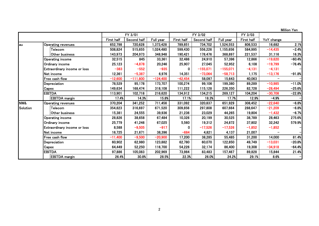Million Yen

|          |                                     |            | FY 3/01     |            |            | FY 3/02     |            | FY 3/03    |            |          |
|----------|-------------------------------------|------------|-------------|------------|------------|-------------|------------|------------|------------|----------|
|          |                                     | First half | Second half | Full year  | First half | Second half | Full year  | First half | YoY change |          |
| lau      | Operating revenues                  | 652,798    | 720,628     | 1,373,428  | 789,851    | 734,702     | 1,524,553  | 806,533    | 16,682     | 2.1%     |
|          | Telecom                             | 508,824    | 515,655     | 1,024,480  | 599,430    | 556,226     | 1,155,656  | 584,995    | $-14,435$  | $-2.4%$  |
|          | Other business                      | 143,973    | 204,973     | 348,948    | 190,421    | 178,476     | 368,897    | 221,537    | 31,116     | 16.3%    |
|          | <b>Operating income</b>             | 32,515     | 845         | 33,361     | 32,486     | 24,910      | 57,396     | 12,866     | $-19,620$  | $-60.4%$ |
|          | Ordinary income                     | 25,123     | $-4,878$    | 20,246     | 25,907     | 27,045      | 52,952     | 6,108      | $-19,799$  | $-76.4%$ |
|          | Extraordinary income or loss        | $-383$     | $-552$      | $-935$     |            | $-155,071$  | $-155,071$ | $-4,131$   | $-4,131$   |          |
|          | Net income                          | 12,361     | $-5,387$    | 6,976      | 14,351     | $-73,064$   | $-58,713$  | 1,175      | $-13,176$  | $-91.8%$ |
|          | Free cash flow                      | $-12,600$  | $-111,800$  | $-124,400$ | $-42,454$  | 58,097      | 15,643     | 40,063     |            |          |
|          | Depreciation                        | 78,529     | 95,178      | 173,707    | 100,274    | 99,106      | 199,380    | 89,289     | $-10,985$  | $-11.0%$ |
|          | Capex                               | 149,634    | 168,474     | 318,108    | 111,222    | 115,128     | 226,350    | 82,728     | $-28,494$  | $-25.6%$ |
|          | <b>EBITDA</b>                       | 113,901    | 102,718     | 216,620    | 134,912    | 134,215     | 269,127    | 104,204    | $-30,708$  | $-22.8%$ |
|          | <b>EBITDA</b> margin                | 17.4%      | 14.3%       | 15.8%      | 17.1%      | 18.3%       | 17.7%      | 12.9%      | $-4.9%$    |          |
| NW&      | Operating revenues                  | 370,204    | 341,252     | 711,456    | 331,092    | 320,837     | 651,929    | 308,452    | $-22,640$  | $-6.8%$  |
| Solution | Telecom                             | 354,823    | 316,697     | 671,520    | 309,856    | 297,808     | 607,664    | 288,647    | $-21,209$  | $-6.8%$  |
|          | Other business                      | 15,381     | 24,555      | 39,936     | 21,236     | 23,029      | 44,265     | 19,804     | $-1,432$   | $-6.7%$  |
|          | <b>Operating income</b>             | 28,826     | 38,658      | 67,484     | 10,326     | 20,199      | 30,525     | 38,789     | 28,463     | 275.6%   |
|          | Ordinary income                     | 25,779     | 41,246      | 67,025     | 5,560      | 19,312      | 24,872     | 37,802     | 32,242     | 579.9%   |
|          | <b>Extraordinary income or loss</b> | 8,588      | $-9,505$    | $-917$     | 0          | $-17,526$   | $-17,526$  | $-1,852$   | $-1,852$   |          |
|          | Net income                          | 16,725     | 21,671      | 38,396     | $-684$     | 4,821       | 4,137      | 21,007     |            |          |
|          | Free cash flow                      | $-11,400$  | $-9,500$    | $-20,900$  | 17,200     | 38,285      | 55,485     | 31,200     | 14,000     | 81.4%    |
|          | Depreciation                        | 60,902     | 62,980      | 123,882    | 62,780     | 60,070      | 122,850    | 49,749     | $-13,031$  | $-20.8%$ |
|          | Capex                               | 64,449     | 52,250      | 116,700    | 54,226     | 32,174      | 86,400     | 19,308     | $-34,918$  | $-64.4%$ |
|          | <b>EBITDA</b>                       | 97,886     | 105,083     | 202,969    | 73,984     | 83,483      | 157,467    | 89,828     | 15,844     | 21.4%    |
|          | <b>EBITDA</b> margin                | 26.4%      | 30.8%       | 28.5%      | 22.3%      | 26.0%       | 24.2%      | 29.1%      | 8.6%       |          |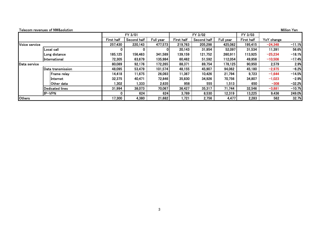|               | Telecom revenues of NW&solution. |                   |             |           |            |             |           |                   |            | Million Yen |
|---------------|----------------------------------|-------------------|-------------|-----------|------------|-------------|-----------|-------------------|------------|-------------|
|               |                                  |                   | FY 3/01     |           |            | FY 3/02     |           | FY 3/03           |            |             |
|               |                                  | <b>First half</b> | Second half | Full year | First half | Second half | Full year | <b>First half</b> | YoY change |             |
| Voice service |                                  | 257,430           | 220,143     | 477,573   | 219,763    | 205,298     | 425,062   | 195,415           | $-24,348$  | $-11.1%$    |
|               | Local call                       |                   | 0           |           | 20,143     | 31,954      | 52,097    | 31,534            | 11,391     | 56.6%       |
|               | Long distance                    | 185,125           | 156,463     | 341,589   | 139,159    | 121,752     | 260,911   | 113,925           | $-25,234$  | $-18.1%$    |
|               | International                    | 72,305            | 63,679      | 135,984   | 60,462     | 51,592      | 112,054   | 49,956            | $-10,506$  | $-17.4%$    |
| Data service  |                                  |                   | 92,176      | 172,265   | 88,371     | 89,754      | 178,125   | 90,950            | 2,579      | 2.9%        |
|               | Data transmission                | 48,095            | 53,479      | 101,574   | 48,155     | 45,907      | 94,062    | 45,180            | $-2,975$   | $-6.2%$     |
|               | Frame relay                      | 14,418            | 11,675      | 26,093    | 11,367     | 10,426      | 21,794    | 9,723             | $-1,644$   | $-14.5%$    |
|               | linternet                        | 32,375            | 40,471      | 72,846    | 35,830     | 34,926      | 70,756    | 34,807            | $-1,023$   | $-2.9%$     |
|               | lOther data                      | l 302             | 1,333       | 2,635     | 958        | 555         | 1,513     | 650               | $-308$     | $-32.2%$    |
|               | lDedicated lines                 | 31,994            | 38,073      | 70,067    | 36,427     | 35,317      | 71,744    | 32,546            | $-3,881$   | $-10.7%$    |
|               | IP-VPN                           |                   | 624         | 624       | 3,789      | 8,530       | 12,319    | 13,225            | 9,436      | 249.0%      |
| Others        |                                  | 17,300            | 4,380       | 21,682    | 1,721      | 2,756       | 4,477     | 2,283             | 562        | 32.7%       |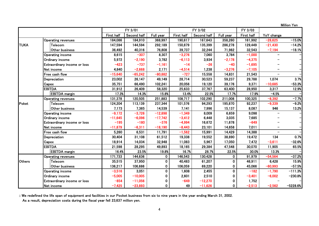Million Yen

|               |                              |            | FY 3/01     |              |            | FY 3/02     |              | FY 3/03    |            |            |
|---------------|------------------------------|------------|-------------|--------------|------------|-------------|--------------|------------|------------|------------|
|               |                              | First half | Second half | Full year    | First half | Second half | Full year    | First half | YoY change |            |
|               | <b>Operating revenues</b>    | 184,086    | 184,910     | 368,997      | 190,617    | 167,643     | 358,260      | 161,992    | $-28,625$  | $-15.0%$   |
| <b>TUKA</b>   | Telecom                      | 147,594    | 144,594     | 292,189      | 150,879    | 135,399     | 286,278      | 129,449    | $-21,430$  | $-14.2%$   |
|               | Other business               | 36,492     | 40,316      | 76,808       | 39,737     | 32,244      | 71,982       | 32,543     | $-7,194$   | $-18.1%$   |
|               | <b>Operating income</b>      | 8,615      | $-307$      | 8,307        | $-3,276$   | 7,060       | 3,784        | $-1,000$   |            |            |
|               | Ordinary income              | 5,972      | $-2,190$    | 3,782        | $-6,113$   | 3,934       | $-2,178$     | $-4,375$   |            |            |
|               | Extraordinary income or loss | $-423$     | $-737$      | $-1,161$     | $-14$      | $-26$       | $-40$        | $-1,695$   |            |            |
|               | Net income                   | 4,840      | $-2,668$    | 2,171        | $-4,514$   | 1,238       | $-3,276$     | $-7,105$   |            |            |
|               | Free cash flow               | $-15,640$  | $-65,242$   | $-80,882$    | $-727$     | 15,558      | 14,831       | 21,543     |            |            |
|               | Depreciation                 | 23,002     | 26,147      | 49,149       | 28,714     | 30,523      | 59,237       | 29,788     | 1,074      | 3.7%       |
|               | Capex                        | 35,751     | 66,490      | 102,241      | 20,056     | 19,120      | 39,176       | 9,371      | $-10,685$  | $-53.3%$   |
|               | <b>EBITDA</b>                | 31,912     | 26,409      | 58,320       | 25,633     | 37,767      | 63,400       | 28,950     | 3,317      | 12.9%      |
|               | <b>EBITDA</b> margin         | 17.3%      | 14.3%       | 15.8%        | 13.4%      | 22.5%       | 17.7%        | 17.9%      | $-4.5%$    |            |
|               | <b>Operating revenues</b>    | 131,378    | 120,505     | 251,883      | 108,717    | 102,290     | 211,008      | 100,325    | $-8,392$   | $-7.7%$    |
| Poket         | Telecom                      | 124,204    | 113,139     | 237,344      | 101,576    | 94,293      | 195,870      | 92,237     | $-9,339$   | $-9.2%$    |
|               | Other business               | 7,173      | 7,365       | 14,539       | 7,141      | 7,996       | 15,137       | 8,087      | 946        | 13.2%      |
|               | Operating income             | $-9,172$   | $-3,726$    | $-12,898$    | $-1,349$   | 8,009       | 6,659        | 9,098      |            |            |
|               | Ordinary income              | $-11,645$  | $-6,096$    | $-17,742$    | $-3,412$   | 6,448       | 3,035        | 7,685      |            |            |
|               | Extraordinary income or loss | $-195$     | $-180$      | $-376$       | $-4,994$   | 16,672      | 11,678       | $-649$     |            |            |
|               | Net income                   | $-11,879$  | $-6,311$    | $-18,190$    | $-8,443$   | 23,101      | 14,658       | 7,011      |            |            |
|               | Free cash fiow               | 5,260      | 6,531       | 11,791       | $-1,562$   | 15,991      | 14,429       | 14,388     |            |            |
|               | Depreciation                 | 30,404     | 31,108      | 61,512       | 19,338     | 19,552      | 38,890       | 19,472     | 134        | 0.7%       |
|               | Capex                        | 18,914     | 14,034      | 32,948       | 11,083     | 5,967       | 17,050       | 7,472      | $-3,611$   | $-32.6%$   |
|               | <b>EBITDA</b>                | 21,598     | 28,295      | 49,893       | 18,165     | 29,384      | 47,548       | 30,070     | 11,905     | 65.5%      |
|               | <b>EBITDA</b> margin         | 16.4%      | 23.5%       | 19.8%        | 16.7%      | 28.7%       | 22.5%        | 30.0%      | 13.3%      |            |
|               | <b>Operating revenues</b>    | 171,733    | 144,636     | $\mathbf 0$  | 146,543    | 130,428     | $\mathbf 0$  | 91,979     | $-54,564$  | $-37.2%$   |
| <b>Others</b> | Telecom                      | 35,515     | 37,950      | $\mathbf{0}$ | 40,483     | 61,207      | $\mathbf{0}$ | 46,911     | 6,428      | 15.9%      |
|               | Other business               | 136,217    | 106,686     | 0            | 106,059    | 69,220      | 0            | 45,066     | $-60,993$  | $-57.5%$   |
|               | <b>Operating income</b>      | $-3,516$   | 3,051       | 0            | 1,608      | 2,455       | $\mathbf{0}$ | $-182$     | $-1,790$   | $-111.3%$  |
|               | Ordinary income              | $-5,005$   | $-10,005$   | 0            | 2,601      | 2,510       | 0            | $-3,401$   | $-6,002$   | $-230.8%$  |
|               | Extraordinary income or loss | $-854$     | $-11,056$   | 0            | $-649$     | $-12,270$   | 0            | 1,752      |            |            |
|               | Net income                   | $-7,425$   | $-23,893$   | 0            | 49         | $-11,626$   | 0            | $-2,513$   | $-2,562$   | $-5228.6%$ |

:: We redefined the life span of equipment and facilities in our Pocket business from six to nine years in the year ending March 31, 2002.

As a result, depreciation costs during the fiscal year fell 23,637 million yen.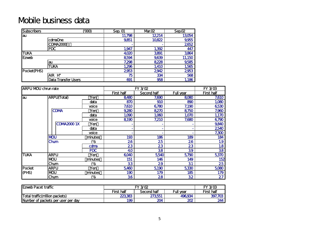## Mobile business data

| <b>Subscribers</b> |                            | ത്ര | Sep. 01 | Mar.02 | Sep.02        |
|--------------------|----------------------------|-----|---------|--------|---------------|
| au                 |                            |     | 11,798  | 12,214 | 13054         |
|                    | cdmaOne                    |     | 9,851   | 10822  | 9,955         |
|                    | CDMA2000                   |     |         |        | 2652          |
|                    | <b>PDC</b>                 |     | 1,947   | 1,392  | 447           |
| <b>TUKA</b>        |                            |     | 4,020   | 3891   | 3864          |
| Ezweb              |                            |     | 8594    | 9,639  | <b>11,150</b> |
|                    | au                         |     | 7,298   | 8228   | 9,585         |
|                    | <b>TUKA</b>                |     | 1,296   | 1,410  | 1,565         |
| Pocket(PHS)        |                            |     | 2953    | 2942   | 2953          |
|                    | AIR H"                     |     | 75      | 334    | 568           |
|                    | <b>Data Transfer Users</b> |     | 691     | 958    | 1,186         |

| <b>ARPU MOU chrun rate</b> |                    |            |            | FY 3/02     |                  | FY 3/03           |
|----------------------------|--------------------|------------|------------|-------------|------------------|-------------------|
|                            |                    |            | First half | Second half | <b>Full year</b> | <b>First half</b> |
| lau                        | <b>ARPU(Total)</b> | Yen        | 8480       | 7,690       | 8080             | 7,610             |
|                            |                    | data       | 870        | 910         | 890              | 1,000             |
|                            |                    | voice      | 7,610      | 6780        | 7,190            | 6530              |
|                            | <b>CDMA</b>        | Yen        | 9,280      | 8270        | 8750             | 7,960             |
|                            |                    | data       | 1,090      | 1,060       | 1,070            | 1,170             |
|                            |                    | voice      | 8190       | 7,210       | 7,680            | 6790              |
|                            | <b>CDMA20001X</b>  | Yen        |            |             |                  | 9,840             |
|                            |                    | data       |            |             |                  | 2540              |
|                            |                    | voice      |            |             |                  | 7,300             |
|                            | <b>MOU</b>         | minutes    | 193        | 186         | 189              | 184               |
|                            | Chum               | (%         | 26         | 25          | 26               | 1.9               |
|                            |                    | cdma       | 23         | 23          | 23               | 1.8               |
|                            |                    | <b>PDC</b> | 40         | 38          | 39               | 38                |
| <b>TUKA</b>                | <b>ARPU</b>        | Yen        | 6040       | 5540        | 5790             | 5,370             |
|                            | <b>NOU</b>         | minutes    | 151        | 146         | 149              | 152               |
|                            | Chum               | (%         | 33         | 29          | 31               | 25                |
| Pocket                     | <b>ARPU</b>        | Yen        | 5,460      | 5190        | 5,330            | 5,080             |
| (PHS)                      | <b>MOU</b>         | minutes    | 190        | 179         | 185              | 179               |
|                            | Chum               | (%         | 36         | 28          | 32               | 27                |

| <b>Ezweb Pacet traffic</b>            |                   | FY 302            |         | $FY$ $3/03$ |
|---------------------------------------|-------------------|-------------------|---------|-------------|
|                                       | <b>First half</b> | <b>First half</b> |         |             |
| <b>Total traffic(million packets)</b> | 223,383           | 273551            | 496,934 | 397,703     |
| Number of packets per user per day    | 199               | 204               | 202     | 244         |